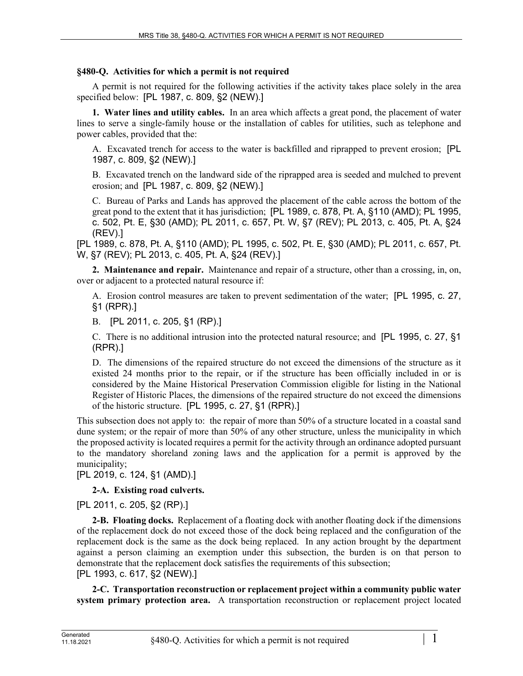# **§480-Q. Activities for which a permit is not required**

A permit is not required for the following activities if the activity takes place solely in the area specified below: [PL 1987, c. 809, §2 (NEW).]

**1. Water lines and utility cables.** In an area which affects a great pond, the placement of water lines to serve a single-family house or the installation of cables for utilities, such as telephone and power cables, provided that the:

A. Excavated trench for access to the water is backfilled and riprapped to prevent erosion; [PL 1987, c. 809, §2 (NEW).]

B. Excavated trench on the landward side of the riprapped area is seeded and mulched to prevent erosion; and [PL 1987, c. 809, §2 (NEW).]

C. Bureau of Parks and Lands has approved the placement of the cable across the bottom of the great pond to the extent that it has jurisdiction; [PL 1989, c. 878, Pt. A, §110 (AMD); PL 1995, c. 502, Pt. E, §30 (AMD); PL 2011, c. 657, Pt. W, §7 (REV); PL 2013, c. 405, Pt. A, §24 (REV).]

[PL 1989, c. 878, Pt. A, §110 (AMD); PL 1995, c. 502, Pt. E, §30 (AMD); PL 2011, c. 657, Pt. W, §7 (REV); PL 2013, c. 405, Pt. A, §24 (REV).]

**2. Maintenance and repair.** Maintenance and repair of a structure, other than a crossing, in, on, over or adjacent to a protected natural resource if:

A. Erosion control measures are taken to prevent sedimentation of the water; [PL 1995, c. 27, §1 (RPR).]

B. [PL 2011, c. 205, §1 (RP).]

C. There is no additional intrusion into the protected natural resource; and [PL 1995, c. 27, §1 (RPR).]

D. The dimensions of the repaired structure do not exceed the dimensions of the structure as it existed 24 months prior to the repair, or if the structure has been officially included in or is considered by the Maine Historical Preservation Commission eligible for listing in the National Register of Historic Places, the dimensions of the repaired structure do not exceed the dimensions of the historic structure. [PL 1995, c. 27, §1 (RPR).]

This subsection does not apply to: the repair of more than 50% of a structure located in a coastal sand dune system; or the repair of more than 50% of any other structure, unless the municipality in which the proposed activity is located requires a permit for the activity through an ordinance adopted pursuant to the mandatory shoreland zoning laws and the application for a permit is approved by the municipality;

[PL 2019, c. 124, §1 (AMD).]

# **2-A. Existing road culverts.**

[PL 2011, c. 205, §2 (RP).]

**2-B. Floating docks.** Replacement of a floating dock with another floating dock if the dimensions of the replacement dock do not exceed those of the dock being replaced and the configuration of the replacement dock is the same as the dock being replaced. In any action brought by the department against a person claiming an exemption under this subsection, the burden is on that person to demonstrate that the replacement dock satisfies the requirements of this subsection; [PL 1993, c. 617, §2 (NEW).]

**2-C. Transportation reconstruction or replacement project within a community public water system primary protection area.** A transportation reconstruction or replacement project located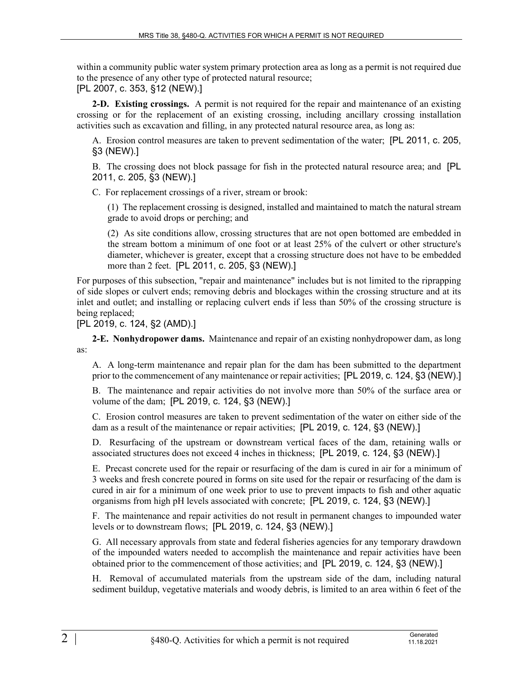within a community public water system primary protection area as long as a permit is not required due to the presence of any other type of protected natural resource; [PL 2007, c. 353, §12 (NEW).]

**2-D. Existing crossings.** A permit is not required for the repair and maintenance of an existing crossing or for the replacement of an existing crossing, including ancillary crossing installation activities such as excavation and filling, in any protected natural resource area, as long as:

A. Erosion control measures are taken to prevent sedimentation of the water; [PL 2011, c. 205, §3 (NEW).]

B. The crossing does not block passage for fish in the protected natural resource area; and [PL 2011, c. 205, §3 (NEW).]

C. For replacement crossings of a river, stream or brook:

(1) The replacement crossing is designed, installed and maintained to match the natural stream grade to avoid drops or perching; and

(2) As site conditions allow, crossing structures that are not open bottomed are embedded in the stream bottom a minimum of one foot or at least 25% of the culvert or other structure's diameter, whichever is greater, except that a crossing structure does not have to be embedded more than 2 feet. [PL 2011, c. 205, §3 (NEW).]

For purposes of this subsection, "repair and maintenance" includes but is not limited to the riprapping of side slopes or culvert ends; removing debris and blockages within the crossing structure and at its inlet and outlet; and installing or replacing culvert ends if less than 50% of the crossing structure is being replaced;

[PL 2019, c. 124, §2 (AMD).]

**2-E. Nonhydropower dams.** Maintenance and repair of an existing nonhydropower dam, as long as:

A. A long-term maintenance and repair plan for the dam has been submitted to the department prior to the commencement of any maintenance or repair activities; [PL 2019, c. 124, §3 (NEW).]

B. The maintenance and repair activities do not involve more than 50% of the surface area or volume of the dam; [PL 2019, c. 124, §3 (NEW).]

C. Erosion control measures are taken to prevent sedimentation of the water on either side of the dam as a result of the maintenance or repair activities; [PL 2019, c. 124, §3 (NEW).]

D. Resurfacing of the upstream or downstream vertical faces of the dam, retaining walls or associated structures does not exceed 4 inches in thickness; [PL 2019, c. 124, §3 (NEW).]

E. Precast concrete used for the repair or resurfacing of the dam is cured in air for a minimum of 3 weeks and fresh concrete poured in forms on site used for the repair or resurfacing of the dam is cured in air for a minimum of one week prior to use to prevent impacts to fish and other aquatic organisms from high pH levels associated with concrete; [PL 2019, c. 124, §3 (NEW).]

F. The maintenance and repair activities do not result in permanent changes to impounded water levels or to downstream flows; [PL 2019, c. 124, §3 (NEW).]

G. All necessary approvals from state and federal fisheries agencies for any temporary drawdown of the impounded waters needed to accomplish the maintenance and repair activities have been obtained prior to the commencement of those activities; and [PL 2019, c. 124, §3 (NEW).]

H. Removal of accumulated materials from the upstream side of the dam, including natural sediment buildup, vegetative materials and woody debris, is limited to an area within 6 feet of the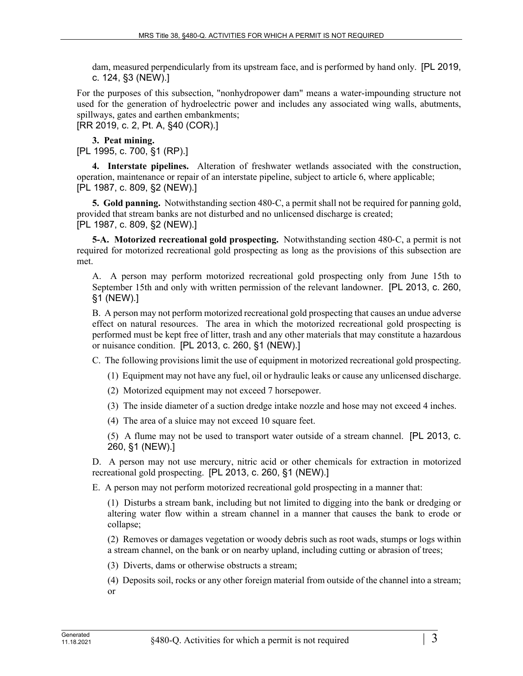dam, measured perpendicularly from its upstream face, and is performed by hand only. [PL 2019, c. 124, §3 (NEW).]

For the purposes of this subsection, "nonhydropower dam" means a water-impounding structure not used for the generation of hydroelectric power and includes any associated wing walls, abutments, spillways, gates and earthen embankments;

[RR 2019, c. 2, Pt. A, §40 (COR).]

**3. Peat mining.** 

[PL 1995, c. 700, §1 (RP).]

**4. Interstate pipelines.** Alteration of freshwater wetlands associated with the construction, operation, maintenance or repair of an interstate pipeline, subject to article 6, where applicable; [PL 1987, c. 809, §2 (NEW).]

**5. Gold panning.** Notwithstanding section 480–C, a permit shall not be required for panning gold, provided that stream banks are not disturbed and no unlicensed discharge is created; [PL 1987, c. 809, §2 (NEW).]

**5-A. Motorized recreational gold prospecting.** Notwithstanding section 480‑C, a permit is not required for motorized recreational gold prospecting as long as the provisions of this subsection are met.

A. A person may perform motorized recreational gold prospecting only from June 15th to September 15th and only with written permission of the relevant landowner. [PL 2013, c. 260, §1 (NEW).]

B. A person may not perform motorized recreational gold prospecting that causes an undue adverse effect on natural resources. The area in which the motorized recreational gold prospecting is performed must be kept free of litter, trash and any other materials that may constitute a hazardous or nuisance condition. [PL 2013, c. 260, §1 (NEW).]

C. The following provisions limit the use of equipment in motorized recreational gold prospecting.

(1) Equipment may not have any fuel, oil or hydraulic leaks or cause any unlicensed discharge.

(2) Motorized equipment may not exceed 7 horsepower.

(3) The inside diameter of a suction dredge intake nozzle and hose may not exceed 4 inches.

(4) The area of a sluice may not exceed 10 square feet.

(5) A flume may not be used to transport water outside of a stream channel. [PL 2013, c. 260, §1 (NEW).]

D. A person may not use mercury, nitric acid or other chemicals for extraction in motorized recreational gold prospecting. [PL 2013, c. 260, §1 (NEW).]

E. A person may not perform motorized recreational gold prospecting in a manner that:

(1) Disturbs a stream bank, including but not limited to digging into the bank or dredging or altering water flow within a stream channel in a manner that causes the bank to erode or collapse;

(2) Removes or damages vegetation or woody debris such as root wads, stumps or logs within a stream channel, on the bank or on nearby upland, including cutting or abrasion of trees;

(3) Diverts, dams or otherwise obstructs a stream;

(4) Deposits soil, rocks or any other foreign material from outside of the channel into a stream; or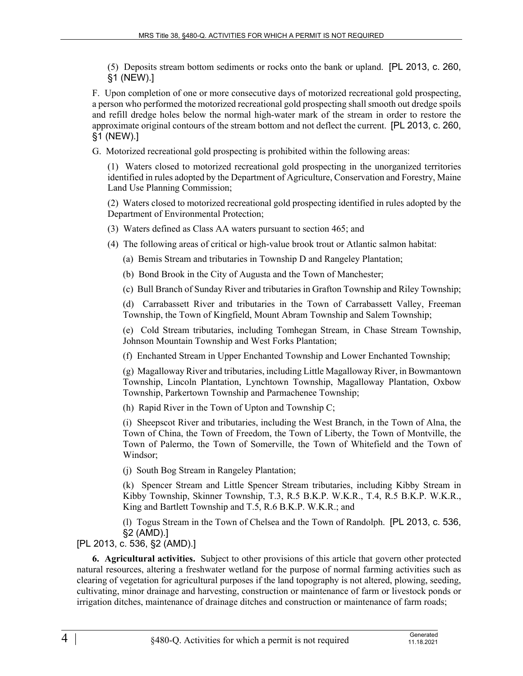(5) Deposits stream bottom sediments or rocks onto the bank or upland. [PL 2013, c. 260, §1 (NEW).]

F. Upon completion of one or more consecutive days of motorized recreational gold prospecting, a person who performed the motorized recreational gold prospecting shall smooth out dredge spoils and refill dredge holes below the normal high-water mark of the stream in order to restore the approximate original contours of the stream bottom and not deflect the current. [PL 2013, c. 260, §1 (NEW).]

G. Motorized recreational gold prospecting is prohibited within the following areas:

(1) Waters closed to motorized recreational gold prospecting in the unorganized territories identified in rules adopted by the Department of Agriculture, Conservation and Forestry, Maine Land Use Planning Commission;

(2) Waters closed to motorized recreational gold prospecting identified in rules adopted by the Department of Environmental Protection;

- (3) Waters defined as Class AA waters pursuant to section 465; and
- (4) The following areas of critical or high-value brook trout or Atlantic salmon habitat:
	- (a) Bemis Stream and tributaries in Township D and Rangeley Plantation;
	- (b) Bond Brook in the City of Augusta and the Town of Manchester;

(c) Bull Branch of Sunday River and tributaries in Grafton Township and Riley Township;

(d) Carrabassett River and tributaries in the Town of Carrabassett Valley, Freeman Township, the Town of Kingfield, Mount Abram Township and Salem Township;

(e) Cold Stream tributaries, including Tomhegan Stream, in Chase Stream Township, Johnson Mountain Township and West Forks Plantation;

(f) Enchanted Stream in Upper Enchanted Township and Lower Enchanted Township;

(g) Magalloway River and tributaries, including Little Magalloway River, in Bowmantown Township, Lincoln Plantation, Lynchtown Township, Magalloway Plantation, Oxbow Township, Parkertown Township and Parmachenee Township;

(h) Rapid River in the Town of Upton and Township C;

(i) Sheepscot River and tributaries, including the West Branch, in the Town of Alna, the Town of China, the Town of Freedom, the Town of Liberty, the Town of Montville, the Town of Palermo, the Town of Somerville, the Town of Whitefield and the Town of Windsor;

(j) South Bog Stream in Rangeley Plantation;

(k) Spencer Stream and Little Spencer Stream tributaries, including Kibby Stream in Kibby Township, Skinner Township, T.3, R.5 B.K.P. W.K.R., T.4, R.5 B.K.P. W.K.R., King and Bartlett Township and T.5, R.6 B.K.P. W.K.R.; and

(l) Togus Stream in the Town of Chelsea and the Town of Randolph. [PL 2013, c. 536, §2 (AMD).]

[PL 2013, c. 536, §2 (AMD).]

**6. Agricultural activities.** Subject to other provisions of this article that govern other protected natural resources, altering a freshwater wetland for the purpose of normal farming activities such as clearing of vegetation for agricultural purposes if the land topography is not altered, plowing, seeding, cultivating, minor drainage and harvesting, construction or maintenance of farm or livestock ponds or irrigation ditches, maintenance of drainage ditches and construction or maintenance of farm roads;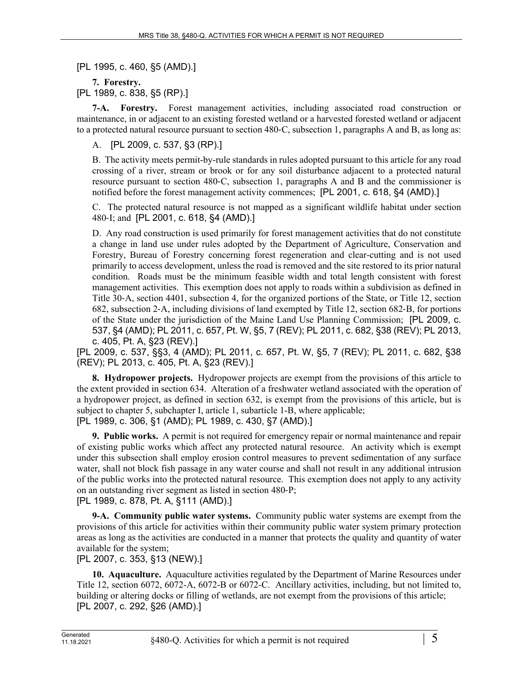[PL 1995, c. 460, §5 (AMD).]

**7. Forestry.**  [PL 1989, c. 838, §5 (RP).]

**7-A. Forestry.** Forest management activities, including associated road construction or maintenance, in or adjacent to an existing forested wetland or a harvested forested wetland or adjacent to a protected natural resource pursuant to section 480‑C, subsection 1, paragraphs A and B, as long as:

A. [PL 2009, c. 537, §3 (RP).]

B. The activity meets permit-by-rule standards in rules adopted pursuant to this article for any road crossing of a river, stream or brook or for any soil disturbance adjacent to a protected natural resource pursuant to section 480‑C, subsection 1, paragraphs A and B and the commissioner is notified before the forest management activity commences; [PL 2001, c. 618, §4 (AMD).]

C. The protected natural resource is not mapped as a significant wildlife habitat under section 480‑I; and [PL 2001, c. 618, §4 (AMD).]

D. Any road construction is used primarily for forest management activities that do not constitute a change in land use under rules adopted by the Department of Agriculture, Conservation and Forestry, Bureau of Forestry concerning forest regeneration and clear-cutting and is not used primarily to access development, unless the road is removed and the site restored to its prior natural condition. Roads must be the minimum feasible width and total length consistent with forest management activities. This exemption does not apply to roads within a subdivision as defined in Title 30‑A, section 4401, subsection 4, for the organized portions of the State, or Title 12, section 682, subsection 2‑A, including divisions of land exempted by Title 12, section 682‑B, for portions of the State under the jurisdiction of the Maine Land Use Planning Commission; [PL 2009, c. 537, §4 (AMD); PL 2011, c. 657, Pt. W, §5, 7 (REV); PL 2011, c. 682, §38 (REV); PL 2013, c. 405, Pt. A, §23 (REV).]

[PL 2009, c. 537, §§3, 4 (AMD); PL 2011, c. 657, Pt. W, §5, 7 (REV); PL 2011, c. 682, §38 (REV); PL 2013, c. 405, Pt. A, §23 (REV).]

**8. Hydropower projects.** Hydropower projects are exempt from the provisions of this article to the extent provided in section 634. Alteration of a freshwater wetland associated with the operation of a hydropower project, as defined in section 632, is exempt from the provisions of this article, but is subject to chapter 5, subchapter I, article 1, subarticle 1-B, where applicable; [PL 1989, c. 306, §1 (AMD); PL 1989, c. 430, §7 (AMD).]

**9. Public works.** A permit is not required for emergency repair or normal maintenance and repair of existing public works which affect any protected natural resource. An activity which is exempt under this subsection shall employ erosion control measures to prevent sedimentation of any surface water, shall not block fish passage in any water course and shall not result in any additional intrusion of the public works into the protected natural resource. This exemption does not apply to any activity on an outstanding river segment as listed in section 480‑P;

[PL 1989, c. 878, Pt. A, §111 (AMD).]

**9-A. Community public water systems.** Community public water systems are exempt from the provisions of this article for activities within their community public water system primary protection areas as long as the activities are conducted in a manner that protects the quality and quantity of water available for the system;

[PL 2007, c. 353, §13 (NEW).]

**10. Aquaculture.** Aquaculture activities regulated by the Department of Marine Resources under Title 12, section 6072, 6072-A, 6072-B or 6072-C. Ancillary activities, including, but not limited to, building or altering docks or filling of wetlands, are not exempt from the provisions of this article; [PL 2007, c. 292, §26 (AMD).]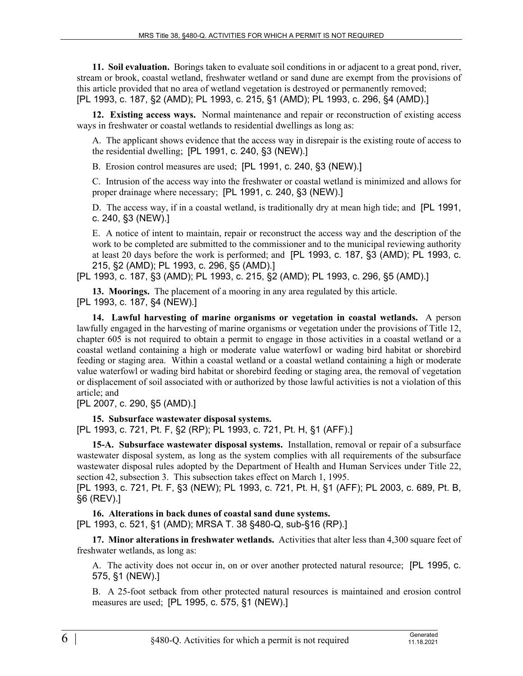**11. Soil evaluation.** Borings taken to evaluate soil conditions in or adjacent to a great pond, river, stream or brook, coastal wetland, freshwater wetland or sand dune are exempt from the provisions of this article provided that no area of wetland vegetation is destroyed or permanently removed; [PL 1993, c. 187, §2 (AMD); PL 1993, c. 215, §1 (AMD); PL 1993, c. 296, §4 (AMD).]

**12. Existing access ways.** Normal maintenance and repair or reconstruction of existing access ways in freshwater or coastal wetlands to residential dwellings as long as:

A. The applicant shows evidence that the access way in disrepair is the existing route of access to the residential dwelling; [PL 1991, c. 240, §3 (NEW).]

B. Erosion control measures are used; [PL 1991, c. 240, §3 (NEW).]

C. Intrusion of the access way into the freshwater or coastal wetland is minimized and allows for proper drainage where necessary; [PL 1991, c. 240, §3 (NEW).]

D. The access way, if in a coastal wetland, is traditionally dry at mean high tide; and [PL 1991, c. 240, §3 (NEW).]

E. A notice of intent to maintain, repair or reconstruct the access way and the description of the work to be completed are submitted to the commissioner and to the municipal reviewing authority at least 20 days before the work is performed; and [PL 1993, c. 187, §3 (AMD); PL 1993, c. 215, §2 (AMD); PL 1993, c. 296, §5 (AMD).]

[PL 1993, c. 187, §3 (AMD); PL 1993, c. 215, §2 (AMD); PL 1993, c. 296, §5 (AMD).]

**13. Moorings.** The placement of a mooring in any area regulated by this article. [PL 1993, c. 187, §4 (NEW).]

**14. Lawful harvesting of marine organisms or vegetation in coastal wetlands.** A person lawfully engaged in the harvesting of marine organisms or vegetation under the provisions of Title 12, chapter 605 is not required to obtain a permit to engage in those activities in a coastal wetland or a coastal wetland containing a high or moderate value waterfowl or wading bird habitat or shorebird feeding or staging area. Within a coastal wetland or a coastal wetland containing a high or moderate value waterfowl or wading bird habitat or shorebird feeding or staging area, the removal of vegetation or displacement of soil associated with or authorized by those lawful activities is not a violation of this article; and

[PL 2007, c. 290, §5 (AMD).]

**15. Subsurface wastewater disposal systems.** 

[PL 1993, c. 721, Pt. F, §2 (RP); PL 1993, c. 721, Pt. H, §1 (AFF).]

**15-A. Subsurface wastewater disposal systems.** Installation, removal or repair of a subsurface wastewater disposal system, as long as the system complies with all requirements of the subsurface wastewater disposal rules adopted by the Department of Health and Human Services under Title 22, section 42, subsection 3. This subsection takes effect on March 1, 1995.

[PL 1993, c. 721, Pt. F, §3 (NEW); PL 1993, c. 721, Pt. H, §1 (AFF); PL 2003, c. 689, Pt. B, §6 (REV).]

**16. Alterations in back dunes of coastal sand dune systems.**  [PL 1993, c. 521, §1 (AMD); MRSA T. 38 §480-Q, sub-§16 (RP).]

**17. Minor alterations in freshwater wetlands.** Activities that alter less than 4,300 square feet of freshwater wetlands, as long as:

A. The activity does not occur in, on or over another protected natural resource; [PL 1995, c. 575, §1 (NEW).]

B. A 25-foot setback from other protected natural resources is maintained and erosion control measures are used; [PL 1995, c. 575, §1 (NEW).]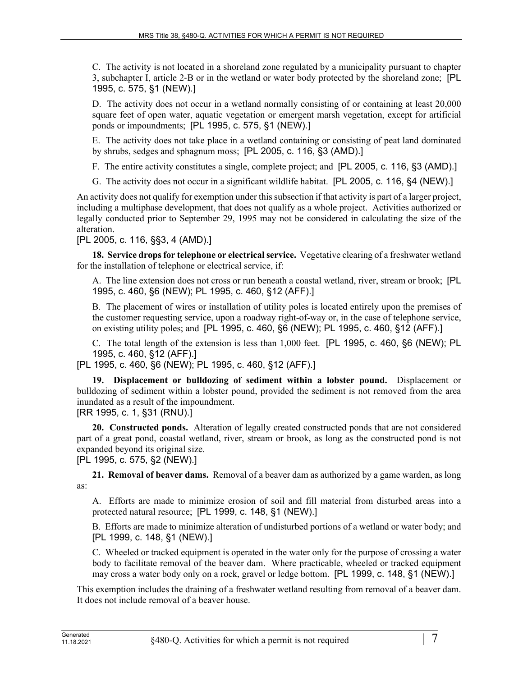C. The activity is not located in a shoreland zone regulated by a municipality pursuant to chapter 3, subchapter I, article 2‑B or in the wetland or water body protected by the shoreland zone; [PL 1995, c. 575, §1 (NEW).]

D. The activity does not occur in a wetland normally consisting of or containing at least 20,000 square feet of open water, aquatic vegetation or emergent marsh vegetation, except for artificial ponds or impoundments; [PL 1995, c. 575, §1 (NEW).]

E. The activity does not take place in a wetland containing or consisting of peat land dominated by shrubs, sedges and sphagnum moss; [PL 2005, c. 116, §3 (AMD).]

- F. The entire activity constitutes a single, complete project; and [PL 2005, c. 116, §3 (AMD).]
- G. The activity does not occur in a significant wildlife habitat. [PL 2005, c. 116, §4 (NEW).]

An activity does not qualify for exemption under this subsection if that activity is part of a larger project, including a multiphase development, that does not qualify as a whole project. Activities authorized or legally conducted prior to September 29, 1995 may not be considered in calculating the size of the alteration.

[PL 2005, c. 116, §§3, 4 (AMD).]

**18. Service drops for telephone or electrical service.** Vegetative clearing of a freshwater wetland for the installation of telephone or electrical service, if:

A. The line extension does not cross or run beneath a coastal wetland, river, stream or brook; [PL 1995, c. 460, §6 (NEW); PL 1995, c. 460, §12 (AFF).]

B. The placement of wires or installation of utility poles is located entirely upon the premises of the customer requesting service, upon a roadway right-of-way or, in the case of telephone service, on existing utility poles; and [PL 1995, c. 460, §6 (NEW); PL 1995, c. 460, §12 (AFF).]

C. The total length of the extension is less than 1,000 feet. [PL 1995, c. 460, §6 (NEW); PL 1995, c. 460, §12 (AFF).]

[PL 1995, c. 460, §6 (NEW); PL 1995, c. 460, §12 (AFF).]

**19. Displacement or bulldozing of sediment within a lobster pound.** Displacement or bulldozing of sediment within a lobster pound, provided the sediment is not removed from the area inundated as a result of the impoundment.

[RR 1995, c. 1, §31 (RNU).]

**20. Constructed ponds.** Alteration of legally created constructed ponds that are not considered part of a great pond, coastal wetland, river, stream or brook, as long as the constructed pond is not expanded beyond its original size.

[PL 1995, c. 575, §2 (NEW).]

**21. Removal of beaver dams.** Removal of a beaver dam as authorized by a game warden, as long as:

A. Efforts are made to minimize erosion of soil and fill material from disturbed areas into a protected natural resource; [PL 1999, c. 148, §1 (NEW).]

B. Efforts are made to minimize alteration of undisturbed portions of a wetland or water body; and [PL 1999, c. 148, §1 (NEW).]

C. Wheeled or tracked equipment is operated in the water only for the purpose of crossing a water body to facilitate removal of the beaver dam. Where practicable, wheeled or tracked equipment may cross a water body only on a rock, gravel or ledge bottom. [PL 1999, c. 148, §1 (NEW).]

This exemption includes the draining of a freshwater wetland resulting from removal of a beaver dam. It does not include removal of a beaver house.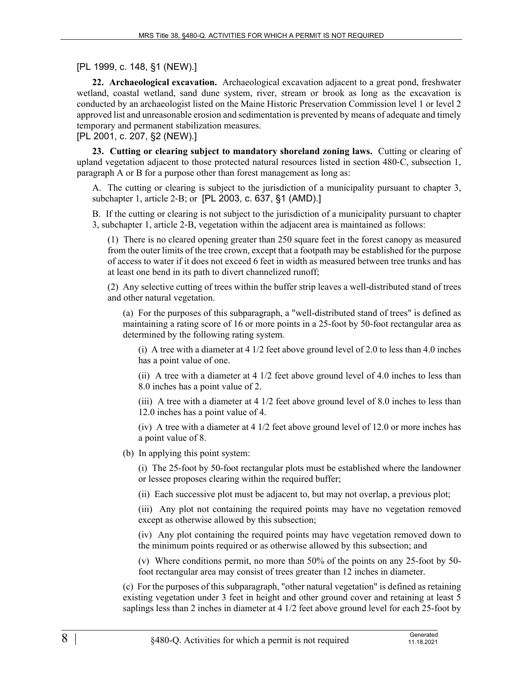## [PL 1999, c. 148, §1 (NEW).]

**22. Archaeological excavation.** Archaeological excavation adjacent to a great pond, freshwater wetland, coastal wetland, sand dune system, river, stream or brook as long as the excavation is conducted by an archaeologist listed on the Maine Historic Preservation Commission level 1 or level 2 approved list and unreasonable erosion and sedimentation is prevented by means of adequate and timely temporary and permanent stabilization measures.

[PL 2001, c. 207, §2 (NEW).]

**23. Cutting or clearing subject to mandatory shoreland zoning laws.** Cutting or clearing of upland vegetation adjacent to those protected natural resources listed in section 480‑C, subsection 1, paragraph A or B for a purpose other than forest management as long as:

A. The cutting or clearing is subject to the jurisdiction of a municipality pursuant to chapter 3, subchapter 1, article 2-B; or [PL 2003, c. 637, §1 (AMD).]

B. If the cutting or clearing is not subject to the jurisdiction of a municipality pursuant to chapter 3, subchapter 1, article 2‑B, vegetation within the adjacent area is maintained as follows:

(1) There is no cleared opening greater than 250 square feet in the forest canopy as measured from the outer limits of the tree crown, except that a footpath may be established for the purpose of access to water if it does not exceed 6 feet in width as measured between tree trunks and has at least one bend in its path to divert channelized runoff;

(2) Any selective cutting of trees within the buffer strip leaves a well-distributed stand of trees and other natural vegetation.

(a) For the purposes of this subparagraph, a "well-distributed stand of trees" is defined as maintaining a rating score of 16 or more points in a 25-foot by 50-foot rectangular area as determined by the following rating system.

(i) A tree with a diameter at 4 1/2 feet above ground level of 2.0 to less than 4.0 inches has a point value of one.

(ii) A tree with a diameter at 4 1/2 feet above ground level of 4.0 inches to less than 8.0 inches has a point value of 2.

(iii) A tree with a diameter at 4 1/2 feet above ground level of 8.0 inches to less than 12.0 inches has a point value of 4.

(iv) A tree with a diameter at 4 1/2 feet above ground level of 12.0 or more inches has a point value of 8.

(b) In applying this point system:

(i) The 25-foot by 50-foot rectangular plots must be established where the landowner or lessee proposes clearing within the required buffer;

(ii) Each successive plot must be adjacent to, but may not overlap, a previous plot;

(iii) Any plot not containing the required points may have no vegetation removed except as otherwise allowed by this subsection;

(iv) Any plot containing the required points may have vegetation removed down to the minimum points required or as otherwise allowed by this subsection; and

(v) Where conditions permit, no more than 50% of the points on any 25-foot by 50 foot rectangular area may consist of trees greater than 12 inches in diameter.

(c) For the purposes of this subparagraph, "other natural vegetation" is defined as retaining existing vegetation under 3 feet in height and other ground cover and retaining at least 5 saplings less than 2 inches in diameter at 4 1/2 feet above ground level for each 25-foot by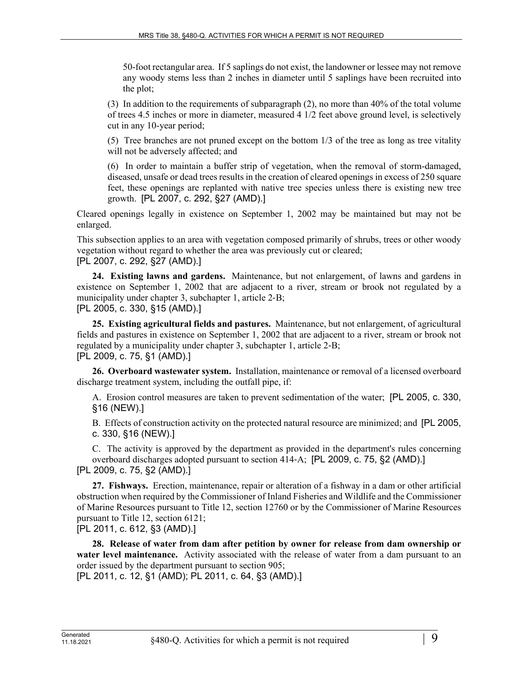50-foot rectangular area. If 5 saplings do not exist, the landowner or lessee may not remove any woody stems less than 2 inches in diameter until 5 saplings have been recruited into the plot;

(3) In addition to the requirements of subparagraph (2), no more than 40% of the total volume of trees 4.5 inches or more in diameter, measured 4 1/2 feet above ground level, is selectively cut in any 10-year period;

(5) Tree branches are not pruned except on the bottom 1/3 of the tree as long as tree vitality will not be adversely affected; and

(6) In order to maintain a buffer strip of vegetation, when the removal of storm-damaged, diseased, unsafe or dead trees results in the creation of cleared openings in excess of 250 square feet, these openings are replanted with native tree species unless there is existing new tree growth. [PL 2007, c. 292, §27 (AMD).]

Cleared openings legally in existence on September 1, 2002 may be maintained but may not be enlarged.

This subsection applies to an area with vegetation composed primarily of shrubs, trees or other woody vegetation without regard to whether the area was previously cut or cleared; [PL 2007, c. 292, §27 (AMD).]

**24. Existing lawns and gardens.** Maintenance, but not enlargement, of lawns and gardens in existence on September 1, 2002 that are adjacent to a river, stream or brook not regulated by a municipality under chapter 3, subchapter 1, article 2-B;

[PL 2005, c. 330, §15 (AMD).]

**25. Existing agricultural fields and pastures.** Maintenance, but not enlargement, of agricultural fields and pastures in existence on September 1, 2002 that are adjacent to a river, stream or brook not regulated by a municipality under chapter 3, subchapter 1, article 2‑B; [PL 2009, c. 75, §1 (AMD).]

**26. Overboard wastewater system.** Installation, maintenance or removal of a licensed overboard discharge treatment system, including the outfall pipe, if:

A. Erosion control measures are taken to prevent sedimentation of the water; [PL 2005, c. 330, §16 (NEW).]

B. Effects of construction activity on the protected natural resource are minimized; and [PL 2005, c. 330, §16 (NEW).]

C. The activity is approved by the department as provided in the department's rules concerning overboard discharges adopted pursuant to section 414‑A; [PL 2009, c. 75, §2 (AMD).] [PL 2009, c. 75, §2 (AMD).]

**27. Fishways.** Erection, maintenance, repair or alteration of a fishway in a dam or other artificial obstruction when required by the Commissioner of Inland Fisheries and Wildlife and the Commissioner of Marine Resources pursuant to Title 12, section 12760 or by the Commissioner of Marine Resources pursuant to Title 12, section 6121;

[PL 2011, c. 612, §3 (AMD).]

**28. Release of water from dam after petition by owner for release from dam ownership or water level maintenance.** Activity associated with the release of water from a dam pursuant to an order issued by the department pursuant to section 905;

[PL 2011, c. 12, §1 (AMD); PL 2011, c. 64, §3 (AMD).]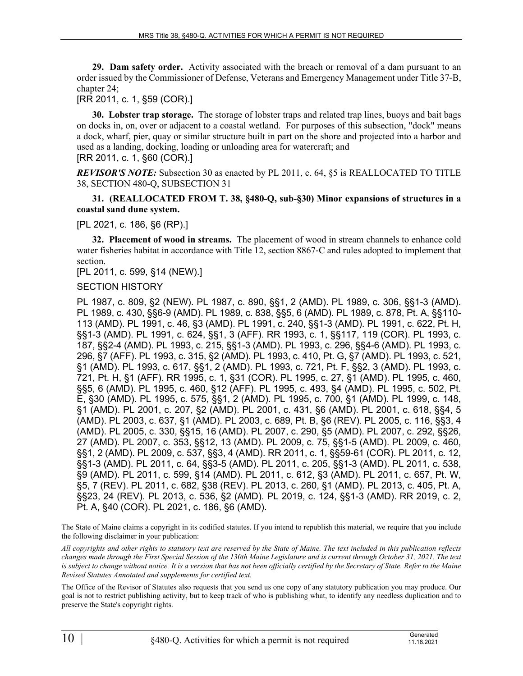**29. Dam safety order.** Activity associated with the breach or removal of a dam pursuant to an order issued by the Commissioner of Defense, Veterans and Emergency Management under Title 37‑B, chapter 24;

[RR 2011, c. 1, §59 (COR).]

**30. Lobster trap storage.** The storage of lobster traps and related trap lines, buoys and bait bags on docks in, on, over or adjacent to a coastal wetland. For purposes of this subsection, "dock" means a dock, wharf, pier, quay or similar structure built in part on the shore and projected into a harbor and used as a landing, docking, loading or unloading area for watercraft; and [RR 2011, c. 1, §60 (COR).]

*REVISOR'S NOTE:* Subsection 30 as enacted by PL 2011, c. 64, §5 is REALLOCATED TO TITLE 38, SECTION 480-Q, SUBSECTION 31

## **31. (REALLOCATED FROM T. 38, §480-Q, sub-§30) Minor expansions of structures in a coastal sand dune system.**

### [PL 2021, c. 186, §6 (RP).]

**32. Placement of wood in streams.** The placement of wood in stream channels to enhance cold water fisheries habitat in accordance with Title 12, section 8867‑C and rules adopted to implement that section.

[PL 2011, c. 599, §14 (NEW).]

### SECTION HISTORY

PL 1987, c. 809, §2 (NEW). PL 1987, c. 890, §§1, 2 (AMD). PL 1989, c. 306, §§1-3 (AMD). PL 1989, c. 430, §§6-9 (AMD). PL 1989, c. 838, §§5, 6 (AMD). PL 1989, c. 878, Pt. A, §§110- 113 (AMD). PL 1991, c. 46, §3 (AMD). PL 1991, c. 240, §§1-3 (AMD). PL 1991, c. 622, Pt. H, §§1-3 (AMD). PL 1991, c. 624, §§1, 3 (AFF). RR 1993, c. 1, §§117, 119 (COR). PL 1993, c. 187, §§2-4 (AMD). PL 1993, c. 215, §§1-3 (AMD). PL 1993, c. 296, §§4-6 (AMD). PL 1993, c. 296, §7 (AFF). PL 1993, c. 315, §2 (AMD). PL 1993, c. 410, Pt. G, §7 (AMD). PL 1993, c. 521, §1 (AMD). PL 1993, c. 617, §§1, 2 (AMD). PL 1993, c. 721, Pt. F, §§2, 3 (AMD). PL 1993, c. 721, Pt. H, §1 (AFF). RR 1995, c. 1, §31 (COR). PL 1995, c. 27, §1 (AMD). PL 1995, c. 460, §§5, 6 (AMD). PL 1995, c. 460, §12 (AFF). PL 1995, c. 493, §4 (AMD). PL 1995, c. 502, Pt. E, §30 (AMD). PL 1995, c. 575, §§1, 2 (AMD). PL 1995, c. 700, §1 (AMD). PL 1999, c. 148, §1 (AMD). PL 2001, c. 207, §2 (AMD). PL 2001, c. 431, §6 (AMD). PL 2001, c. 618, §§4, 5 (AMD). PL 2003, c. 637, §1 (AMD). PL 2003, c. 689, Pt. B, §6 (REV). PL 2005, c. 116, §§3, 4 (AMD). PL 2005, c. 330, §§15, 16 (AMD). PL 2007, c. 290, §5 (AMD). PL 2007, c. 292, §§26, 27 (AMD). PL 2007, c. 353, §§12, 13 (AMD). PL 2009, c. 75, §§1-5 (AMD). PL 2009, c. 460, §§1, 2 (AMD). PL 2009, c. 537, §§3, 4 (AMD). RR 2011, c. 1, §§59-61 (COR). PL 2011, c. 12, §§1-3 (AMD). PL 2011, c. 64, §§3-5 (AMD). PL 2011, c. 205, §§1-3 (AMD). PL 2011, c. 538, §9 (AMD). PL 2011, c. 599, §14 (AMD). PL 2011, c. 612, §3 (AMD). PL 2011, c. 657, Pt. W, §5, 7 (REV). PL 2011, c. 682, §38 (REV). PL 2013, c. 260, §1 (AMD). PL 2013, c. 405, Pt. A, §§23, 24 (REV). PL 2013, c. 536, §2 (AMD). PL 2019, c. 124, §§1-3 (AMD). RR 2019, c. 2, Pt. A, §40 (COR). PL 2021, c. 186, §6 (AMD).

The State of Maine claims a copyright in its codified statutes. If you intend to republish this material, we require that you include the following disclaimer in your publication:

*All copyrights and other rights to statutory text are reserved by the State of Maine. The text included in this publication reflects changes made through the First Special Session of the 130th Maine Legislature and is current through October 31, 2021. The text*  is subject to change without notice. It is a version that has not been officially certified by the Secretary of State. Refer to the Maine *Revised Statutes Annotated and supplements for certified text.*

The Office of the Revisor of Statutes also requests that you send us one copy of any statutory publication you may produce. Our goal is not to restrict publishing activity, but to keep track of who is publishing what, to identify any needless duplication and to preserve the State's copyright rights.